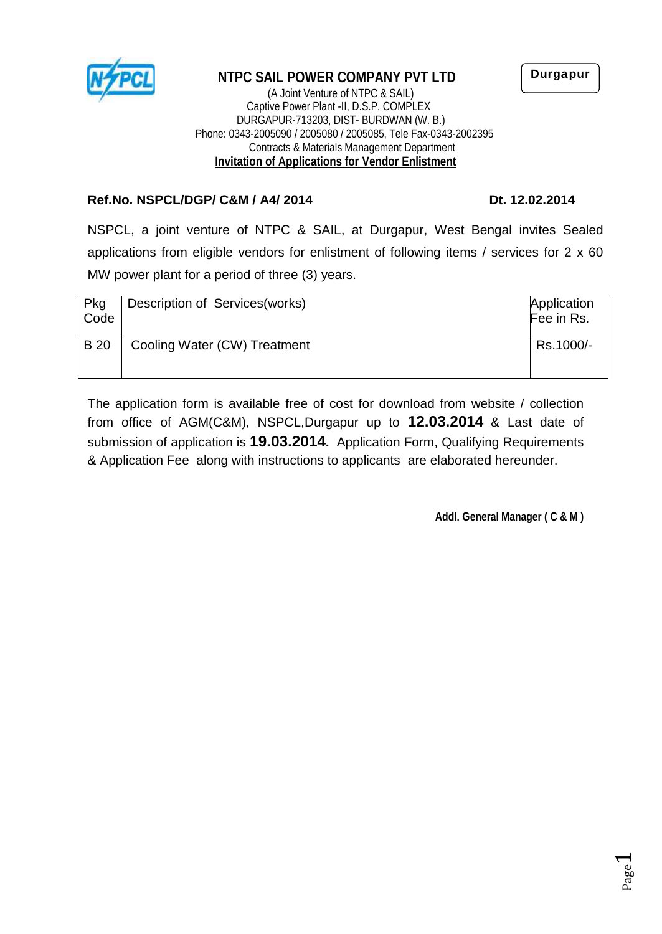

## **NTPC SAIL POWER COMPANY PVT LTD**

(A Joint Venture of NTPC & SAIL) Captive Power Plant -II, D.S.P. COMPLEX DURGAPUR-713203, DIST- BURDWAN (W. B.) Phone: 0343-2005090 / 2005080 / 2005085, Tele Fax-0343-2002395 Contracts & Materials Management Department **Invitation of Applications for Vendor Enlistment**

#### **Ref.No. NSPCL/DGP/ C&M / A4/ 2014 Dt. 12.02.2014**

NSPCL, a joint venture of NTPC & SAIL, at Durgapur, West Bengal invites Sealed applications from eligible vendors for enlistment of following items / services for 2 x 60 MW power plant for a period of three (3) years.

| Pkg<br>Code | Description of Services (works) | Application<br>Fee in Rs. |  |
|-------------|---------------------------------|---------------------------|--|
| <b>B</b> 20 | Cooling Water (CW) Treatment    | Rs.1000/-                 |  |

The application form is available free of cost for download from website / collection from office of AGM(C&M), NSPCL,Durgapur up to **12.03.2014** & Last date of submission of application is **19.03.2014.** Application Form, Qualifying Requirements & Application Fee along with instructions to applicants are elaborated hereunder.

**Addl. General Manager ( C & M )**

**Durgapur**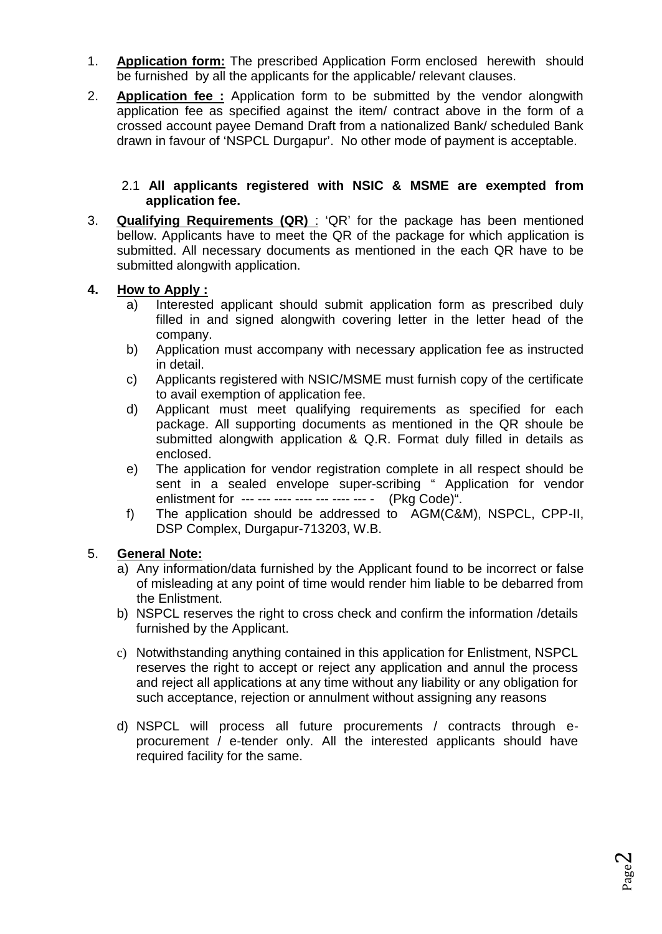- 1. **Application form:** The prescribed Application Form enclosed herewith should be furnished by all the applicants for the applicable/ relevant clauses.
- 2. **Application fee :** Application form to be submitted by the vendor alongwith application fee as specified against the item/ contract above in the form of a crossed account payee Demand Draft from a nationalized Bank/ scheduled Bank drawn in favour of 'NSPCL Durgapur'. No other mode of payment is acceptable.

#### 2.1 **All applicants registered with NSIC & MSME are exempted from application fee.**

3. **Qualifying Requirements (QR)** : 'QR' for the package has been mentioned bellow. Applicants have to meet the QR of the package for which application is submitted. All necessary documents as mentioned in the each QR have to be submitted alongwith application.

### **4. How to Apply :**

- a) Interested applicant should submit application form as prescribed duly filled in and signed alongwith covering letter in the letter head of the company.
- b) Application must accompany with necessary application fee as instructed in detail.
- c) Applicants registered with NSIC/MSME must furnish copy of the certificate to avail exemption of application fee.
- d) Applicant must meet qualifying requirements as specified for each package. All supporting documents as mentioned in the QR shoule be submitted alongwith application & Q.R. Format duly filled in details as enclosed.
- e) The application for vendor registration complete in all respect should be sent in a sealed envelope super-scribing " Application for vendor enlistment for --- --- ---- ---- --- ---- --- (Pkg Code)".
- f) The application should be addressed to AGM(C&M), NSPCL, CPP-II, DSP Complex, Durgapur-713203, W.B.

### 5. **General Note:**

- a) Any information/data furnished by the Applicant found to be incorrect or false of misleading at any point of time would render him liable to be debarred from the Enlistment.
- b) NSPCL reserves the right to cross check and confirm the information /details furnished by the Applicant.
- c) Notwithstanding anything contained in this application for Enlistment, NSPCL reserves the right to accept or reject any application and annul the process and reject all applications at any time without any liability or any obligation for such acceptance, rejection or annulment without assigning any reasons
- d) NSPCL will process all future procurements / contracts through e procurement / e-tender only. All the interested applicants should have required facility for the same.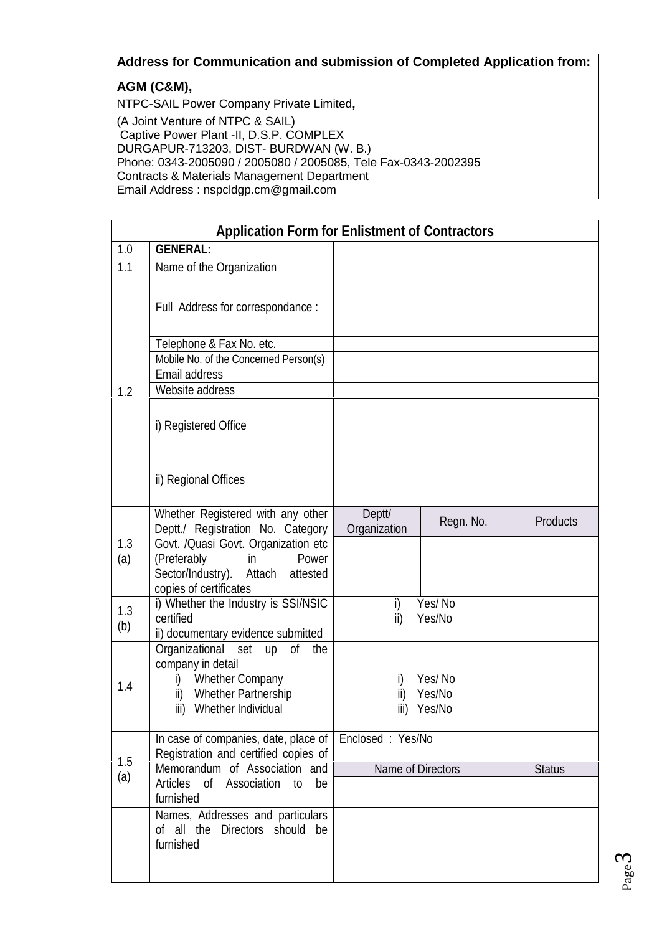# **Address for Communication and submission of Completed Application from:**

## **AGM (C&M),**

NTPC-SAIL Power Company Private Limited**,** (A Joint Venture of NTPC & SAIL) Captive Power Plant -II, D.S.P. COMPLEX DURGAPUR-713203, DIST- BURDWAN (W. B.) Phone: 0343-2005090 / 2005080 / 2005085, Tele Fax-0343-2002395 Contracts & Materials Management Department Email Address : nspcldgp.cm@gmail.com

|            | <b>Application Form for Enlistment of Contractors</b>                                                                                                                                                      |                                        |           |                 |
|------------|------------------------------------------------------------------------------------------------------------------------------------------------------------------------------------------------------------|----------------------------------------|-----------|-----------------|
| 1.0        | <b>GENERAL:</b>                                                                                                                                                                                            |                                        |           |                 |
| 1.1        | Name of the Organization                                                                                                                                                                                   |                                        |           |                 |
|            | Full Address for correspondance:                                                                                                                                                                           |                                        |           |                 |
|            | Telephone & Fax No. etc.                                                                                                                                                                                   |                                        |           |                 |
|            | Mobile No. of the Concerned Person(s)                                                                                                                                                                      |                                        |           |                 |
|            | <b>Email address</b>                                                                                                                                                                                       |                                        |           |                 |
| 1.2        | Website address                                                                                                                                                                                            |                                        |           |                 |
|            | i) Registered Office                                                                                                                                                                                       |                                        |           |                 |
|            | ii) Regional Offices                                                                                                                                                                                       |                                        |           |                 |
| 1.3<br>(a) | Whether Registered with any other<br>Deptt./ Registration No. Category<br>Govt. /Quasi Govt. Organization etc<br>(Preferably<br>Power<br>in<br>Sector/Industry). Attach attested<br>copies of certificates | Deptt/<br>Organization                 | Regn. No. | <b>Products</b> |
| 1.3<br>(b) | i) Whether the Industry is SSI/NSIC<br>certified<br>ii) documentary evidence submitted                                                                                                                     | Yes/No<br>i)<br>Yes/No<br>ii)          |           |                 |
| 1.4        | Organizational set up of the<br>company in detail<br><b>Whether Company</b><br>i)<br><b>Whether Partnership</b><br>ii)<br>iii) Whether Individual                                                          | Yes/No<br>Yes/No<br>ii)<br>iii) Yes/No |           |                 |
| 1.5        | In case of companies, date, place of<br>Registration and certified copies of                                                                                                                               | Endosed: Yes/No                        |           |                 |
| (a)        | Memorandum of Association and<br>Articles of Association to be<br>furnished                                                                                                                                | Name of Directors                      |           | <b>Status</b>   |
|            | Names, Addresses and particulars<br>of all the Directors should be<br>furnished                                                                                                                            |                                        |           |                 |

Page ო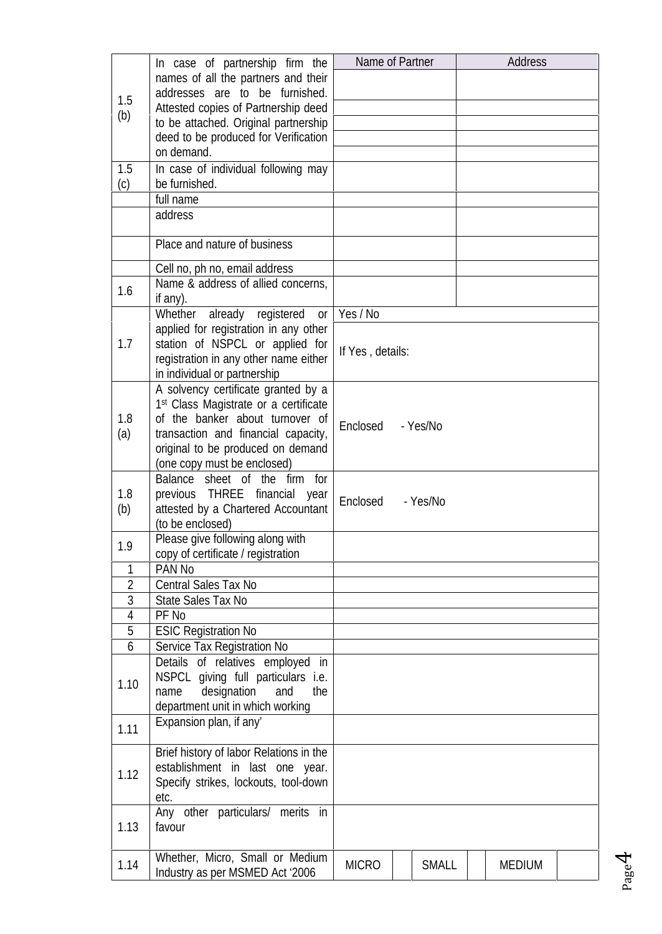|                | In case of partnership firm the                   | Name of Partner             | <b>Address</b> |
|----------------|---------------------------------------------------|-----------------------------|----------------|
|                | names of all the partners and their               |                             |                |
|                | addresses are to be furnished.                    |                             |                |
| 1.5            | Attested copies of Partnership deed               |                             |                |
| (b)            | to be attached. Original partnership              |                             |                |
|                | deed to be produced for Verification              |                             |                |
|                | on demand.                                        |                             |                |
| 1.5            | In case of individual following may               |                             |                |
| (c)            | be furnished.                                     |                             |                |
|                | full name                                         |                             |                |
|                | address                                           |                             |                |
|                |                                                   |                             |                |
|                | Place and nature of business                      |                             |                |
|                | Cell no, ph no, email address                     |                             |                |
| 1.6            | Name & address of allied concerns,                |                             |                |
|                | if any).                                          |                             |                |
|                | Whether<br>already registered<br><b>or</b>        | Yes / No                    |                |
|                | applied for registration in any other             |                             |                |
| 1.7            | station of NSPCL or applied for                   | If Yes, details:            |                |
|                | registration in any other name either             |                             |                |
|                | in individual or partnership                      |                             |                |
|                | A solvency certificate granted by a               |                             |                |
|                | 1 <sup>st</sup> Class Magistrate or a certificate |                             |                |
| 1.8            | of the banker about turnover of                   | Endosed<br>- Yes/No         |                |
| (a)            | transaction and financial capacity,               |                             |                |
|                | original to be produced on demand                 |                             |                |
|                | (one copy must be enclosed)                       |                             |                |
|                | Balance sheet of the firm for                     |                             |                |
| 1.8            | previous THREE financial<br>year                  | Endosed<br>- Yes/No         |                |
| (b)            | attested by a Chartered Accountant                |                             |                |
|                | (to be enclosed)                                  |                             |                |
| 1.9            | Please give following along with                  |                             |                |
|                | copy of certificate / registration                |                             |                |
| 1              | <b>PAN No</b>                                     |                             |                |
| $\overline{2}$ | <b>Central Sales Tax No</b>                       |                             |                |
| 3              | State Sales Tax No                                |                             |                |
| 4              | PF <sub>No</sub>                                  |                             |                |
| 5              | <b>ESIC Registration No</b>                       |                             |                |
| 6              | Service Tax Registration No                       |                             |                |
|                | Details of relatives employed in                  |                             |                |
| 1.10           | NSPCL giving full particulars i.e.                |                             |                |
|                | designation<br>and<br>the<br>name                 |                             |                |
|                | department unit in which working                  |                             |                |
| 1.11           | Expansion plan, if any'                           |                             |                |
|                | Brief history of labor Relations in the           |                             |                |
| 1.12           | establishment in last one year.                   |                             |                |
|                | Specify strikes, lockouts, tool-down              |                             |                |
|                | etc.                                              |                             |                |
|                | Any other particulars/ merits in                  |                             |                |
| 1.13           | favour                                            |                             |                |
|                |                                                   |                             |                |
| 1.14           | Whether, Micro, Small or Medium                   | <b>MCRO</b><br><b>SMALL</b> | <b>MEDIUM</b>  |
|                | Industry as per MSMED Act '2006                   |                             |                |

Page<sup>4</sup>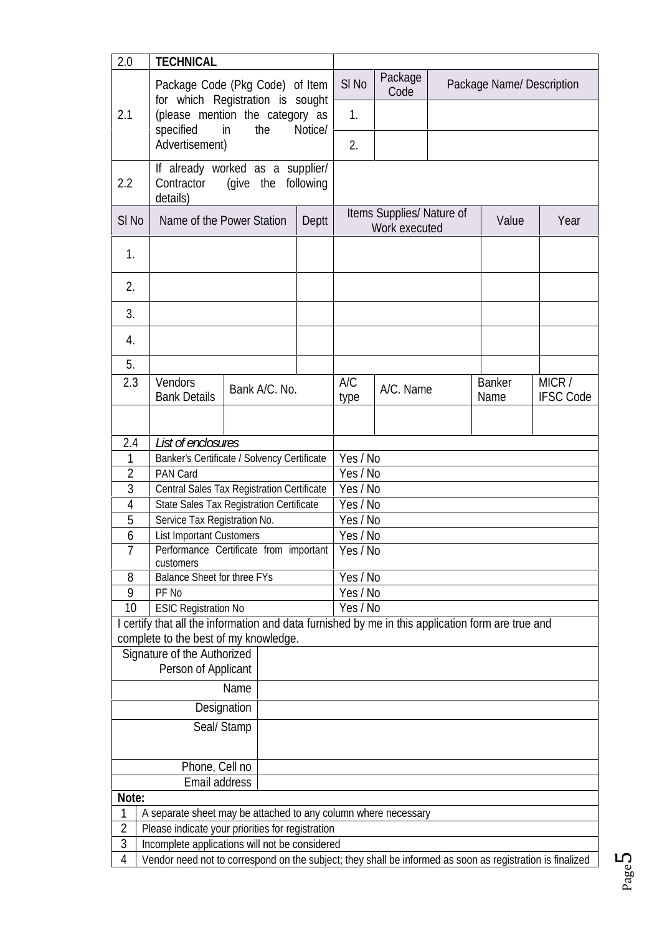| 2.0                 | <b>TECHNICAL</b>                                                                                                                         |                                                      |                                                   |           |       |                          |                  |
|---------------------|------------------------------------------------------------------------------------------------------------------------------------------|------------------------------------------------------|---------------------------------------------------|-----------|-------|--------------------------|------------------|
|                     | Package Code (Pkg Code) of Item                                                                                                          |                                                      | SI <sub>N</sub> o                                 | Package   |       | Package Name/Description |                  |
|                     | for which Registration is sought                                                                                                         |                                                      |                                                   | Code      |       |                          |                  |
| 2.1                 | (please mention the category as                                                                                                          |                                                      | 1.                                                |           |       |                          |                  |
|                     | specified<br>in<br>the                                                                                                                   | Notice/                                              |                                                   |           |       |                          |                  |
|                     | Advertisement)                                                                                                                           |                                                      | 2.                                                |           |       |                          |                  |
|                     | If already worked as a supplier/                                                                                                         |                                                      |                                                   |           |       |                          |                  |
| 2.2                 | Contractor<br>(give the following<br>details)                                                                                            |                                                      |                                                   |           |       |                          |                  |
|                     |                                                                                                                                          |                                                      |                                                   |           |       |                          |                  |
| $SI$ No             | Name of the Power Station                                                                                                                | Deptt                                                | Items Supplies/ Nature of<br><b>Work executed</b> |           | Value | Year                     |                  |
|                     |                                                                                                                                          |                                                      |                                                   |           |       |                          |                  |
| $\mathbf{1}$        |                                                                                                                                          |                                                      |                                                   |           |       |                          |                  |
|                     |                                                                                                                                          |                                                      |                                                   |           |       |                          |                  |
| 2.                  |                                                                                                                                          |                                                      |                                                   |           |       |                          |                  |
| 3.                  |                                                                                                                                          |                                                      |                                                   |           |       |                          |                  |
|                     |                                                                                                                                          |                                                      |                                                   |           |       |                          |                  |
| 4.                  |                                                                                                                                          |                                                      |                                                   |           |       |                          |                  |
| 5.                  |                                                                                                                                          |                                                      |                                                   |           |       |                          |                  |
| 2.3                 | <b>Vendors</b>                                                                                                                           |                                                      | A/C                                               |           |       | <b>Banker</b>            | MCR/             |
|                     | Bank A/C. No.<br><b>Bank Details</b>                                                                                                     |                                                      | type                                              | A/C. Name |       | Name                     | <b>IFSC Code</b> |
|                     |                                                                                                                                          |                                                      |                                                   |           |       |                          |                  |
|                     |                                                                                                                                          |                                                      |                                                   |           |       |                          |                  |
| 2.4                 | List of enclosures                                                                                                                       |                                                      |                                                   |           |       |                          |                  |
| 1                   | Banker's Certificate / Solvency Certificate                                                                                              | Yes/No                                               |                                                   |           |       |                          |                  |
| $\overline{2}$      | PAN Card<br>Yes/No                                                                                                                       |                                                      |                                                   |           |       |                          |                  |
| 3                   |                                                                                                                                          | Yes/No<br>Central Sales Tax Registration Certificate |                                                   |           |       |                          |                  |
| 4<br>5              | State Sales Tax Registration Certificate<br>Yes/No                                                                                       |                                                      |                                                   |           |       |                          |                  |
| 6                   | Service Tax Registration No.<br>Yes/No<br>Yes/No                                                                                         |                                                      |                                                   |           |       |                          |                  |
| $\overline{7}$      | <b>List Important Customers</b><br>Performance Certificate from important<br>Yes/No                                                      |                                                      |                                                   |           |       |                          |                  |
|                     | customers                                                                                                                                |                                                      |                                                   |           |       |                          |                  |
| 8                   |                                                                                                                                          | <b>Balance Sheet for three FYs</b><br>Yes/No         |                                                   |           |       |                          |                  |
| 9                   | PF <sub>No</sub>                                                                                                                         | Yes/No                                               |                                                   |           |       |                          |                  |
| 10                  | <b>ESIC Registration No</b>                                                                                                              |                                                      | Yes/No                                            |           |       |                          |                  |
|                     | certify that all the information and data furnished by me in this application form are true and<br>complete to the best of my knowledge. |                                                      |                                                   |           |       |                          |                  |
|                     | Signature of the Authorized                                                                                                              |                                                      |                                                   |           |       |                          |                  |
|                     | Person of Applicant                                                                                                                      |                                                      |                                                   |           |       |                          |                  |
|                     | Name                                                                                                                                     |                                                      |                                                   |           |       |                          |                  |
| Designation         |                                                                                                                                          |                                                      |                                                   |           |       |                          |                  |
|                     |                                                                                                                                          |                                                      |                                                   |           |       |                          |                  |
|                     | Seal/Stamp                                                                                                                               |                                                      |                                                   |           |       |                          |                  |
|                     |                                                                                                                                          |                                                      |                                                   |           |       |                          |                  |
|                     | Phone, Cell no                                                                                                                           |                                                      |                                                   |           |       |                          |                  |
|                     | Email address                                                                                                                            |                                                      |                                                   |           |       |                          |                  |
| Note:               |                                                                                                                                          |                                                      |                                                   |           |       |                          |                  |
| 1                   | A separate sheet may be attached to any column where necessary                                                                           |                                                      |                                                   |           |       |                          |                  |
| $\overline{2}$<br>3 | Please indicate your priorities for registration<br>Incomplete applications will not be considered                                       |                                                      |                                                   |           |       |                          |                  |
| 4                   | Vendor need not to correspond on the subject; they shall be informed as soon as registration is finalized                                |                                                      |                                                   |           |       |                          |                  |
|                     | LN.                                                                                                                                      |                                                      |                                                   |           |       |                          |                  |